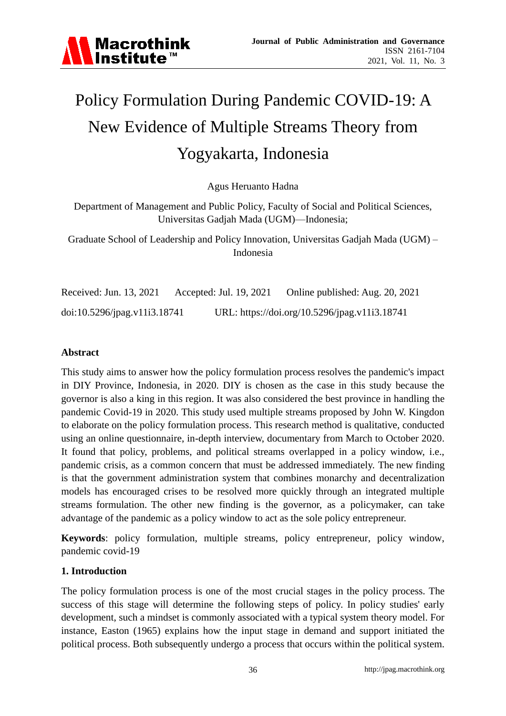

# Policy Formulation During Pandemic COVID-19: A New Evidence of Multiple Streams Theory from Yogyakarta, Indonesia

Agus Heruanto Hadna

Department of Management and Public Policy, Faculty of Social and Political Sciences, Universitas Gadjah Mada (UGM)—Indonesia;

Graduate School of Leadership and Policy Innovation, Universitas Gadjah Mada (UGM) – Indonesia

Received: Jun. 13, 2021 Accepted: Jul. 19, 2021 Online published: Aug. 20, 2021 doi:10.5296/jpag.v11i3.18741 URL: https://doi.org/10.5296/jpag.v11i3.18741

#### **Abstract**

This study aims to answer how the policy formulation process resolves the pandemic's impact in DIY Province, Indonesia, in 2020. DIY is chosen as the case in this study because the governor is also a king in this region. It was also considered the best province in handling the pandemic Covid-19 in 2020. This study used multiple streams proposed by John W. Kingdon to elaborate on the policy formulation process. This research method is qualitative, conducted using an online questionnaire, in-depth interview, documentary from March to October 2020. It found that policy, problems, and political streams overlapped in a policy window, i.e., pandemic crisis, as a common concern that must be addressed immediately. The new finding is that the government administration system that combines monarchy and decentralization models has encouraged crises to be resolved more quickly through an integrated multiple streams formulation. The other new finding is the governor, as a policymaker, can take advantage of the pandemic as a policy window to act as the sole policy entrepreneur.

**Keywords**: policy formulation, multiple streams, policy entrepreneur, policy window, pandemic covid-19

#### **1. Introduction**

The policy formulation process is one of the most crucial stages in the policy process. The success of this stage will determine the following steps of policy. In policy studies' early development, such a mindset is commonly associated with a typical system theory model. For instance, Easton (1965) explains how the input stage in demand and support initiated the political process. Both subsequently undergo a process that occurs within the political system.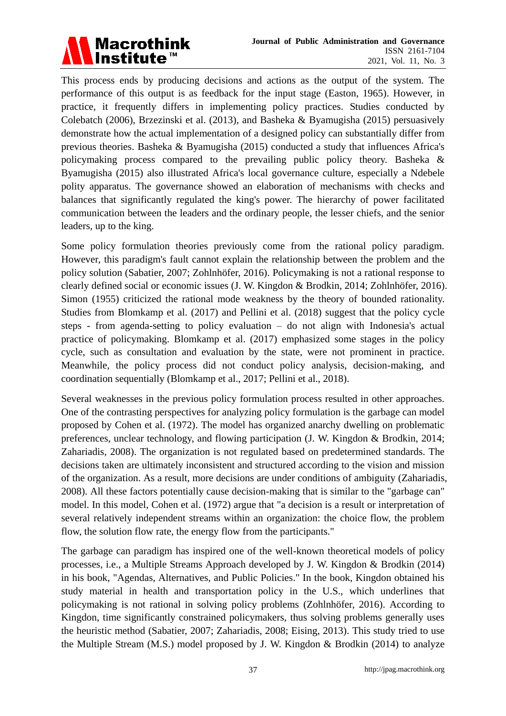

This process ends by producing decisions and actions as the output of the system. The performance of this output is as feedback for the input stage (Easton, 1965). However, in practice, it frequently differs in implementing policy practices. Studies conducted by Colebatch (2006), Brzezinski et al. (2013), and Basheka & Byamugisha (2015) persuasively demonstrate how the actual implementation of a designed policy can substantially differ from previous theories. Basheka & Byamugisha (2015) conducted a study that influences Africa's policymaking process compared to the prevailing public policy theory. Basheka & Byamugisha (2015) also illustrated Africa's local governance culture, especially a Ndebele polity apparatus. The governance showed an elaboration of mechanisms with checks and balances that significantly regulated the king's power. The hierarchy of power facilitated communication between the leaders and the ordinary people, the lesser chiefs, and the senior leaders, up to the king.

Some policy formulation theories previously come from the rational policy paradigm. However, this paradigm's fault cannot explain the relationship between the problem and the policy solution (Sabatier, 2007; Zohlnhöfer, 2016). Policymaking is not a rational response to clearly defined social or economic issues (J. W. Kingdon & Brodkin, 2014; Zohlnhöfer, 2016). Simon (1955) criticized the rational mode weakness by the theory of bounded rationality. Studies from Blomkamp et al. (2017) and Pellini et al. (2018) suggest that the policy cycle steps - from agenda-setting to policy evaluation – do not align with Indonesia's actual practice of policymaking. Blomkamp et al. (2017) emphasized some stages in the policy cycle, such as consultation and evaluation by the state, were not prominent in practice. Meanwhile, the policy process did not conduct policy analysis, decision-making, and coordination sequentially (Blomkamp et al., 2017; Pellini et al., 2018).

Several weaknesses in the previous policy formulation process resulted in other approaches. One of the contrasting perspectives for analyzing policy formulation is the garbage can model proposed by Cohen et al. (1972). The model has organized anarchy dwelling on problematic preferences, unclear technology, and flowing participation (J. W. Kingdon & Brodkin, 2014; Zahariadis, 2008). The organization is not regulated based on predetermined standards. The decisions taken are ultimately inconsistent and structured according to the vision and mission of the organization. As a result, more decisions are under conditions of ambiguity (Zahariadis, 2008). All these factors potentially cause decision-making that is similar to the "garbage can" model. In this model, Cohen et al. (1972) argue that "a decision is a result or interpretation of several relatively independent streams within an organization: the choice flow, the problem flow, the solution flow rate, the energy flow from the participants."

The garbage can paradigm has inspired one of the well-known theoretical models of policy processes, i.e., a Multiple Streams Approach developed by J. W. Kingdon & Brodkin (2014) in his book, "Agendas, Alternatives, and Public Policies." In the book, Kingdon obtained his study material in health and transportation policy in the U.S., which underlines that policymaking is not rational in solving policy problems (Zohlnhöfer, 2016). According to Kingdon, time significantly constrained policymakers, thus solving problems generally uses the heuristic method (Sabatier, 2007; Zahariadis, 2008; Eising, 2013). This study tried to use the Multiple Stream (M.S.) model proposed by J. W. Kingdon & Brodkin (2014) to analyze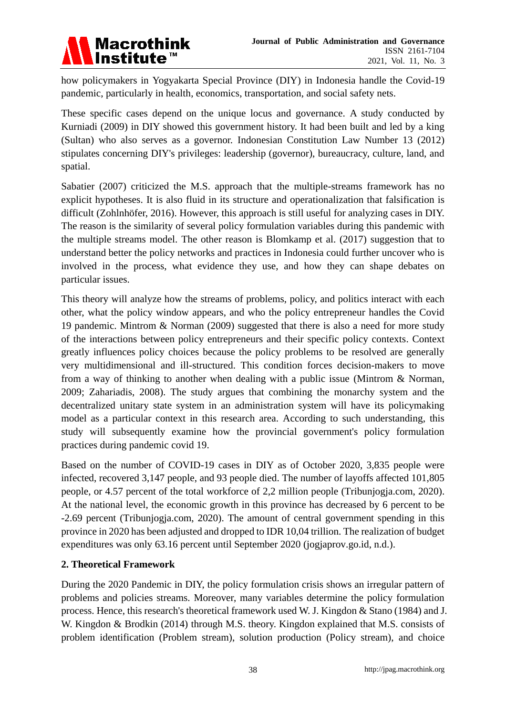

how policymakers in Yogyakarta Special Province (DIY) in Indonesia handle the Covid-19 pandemic, particularly in health, economics, transportation, and social safety nets.

These specific cases depend on the unique locus and governance. A study conducted by Kurniadi (2009) in DIY showed this government history. It had been built and led by a king (Sultan) who also serves as a governor. Indonesian Constitution Law Number 13 (2012) stipulates concerning DIY's privileges: leadership (governor), bureaucracy, culture, land, and spatial.

Sabatier (2007) criticized the M.S. approach that the multiple-streams framework has no explicit hypotheses. It is also fluid in its structure and operationalization that falsification is difficult (Zohlnhöfer, 2016). However, this approach is still useful for analyzing cases in DIY. The reason is the similarity of several policy formulation variables during this pandemic with the multiple streams model. The other reason is Blomkamp et al. (2017) suggestion that to understand better the policy networks and practices in Indonesia could further uncover who is involved in the process, what evidence they use, and how they can shape debates on particular issues.

This theory will analyze how the streams of problems, policy, and politics interact with each other, what the policy window appears, and who the policy entrepreneur handles the Covid 19 pandemic. Mintrom & Norman (2009) suggested that there is also a need for more study of the interactions between policy entrepreneurs and their specific policy contexts. Context greatly influences policy choices because the policy problems to be resolved are generally very multidimensional and ill-structured. This condition forces decision-makers to move from a way of thinking to another when dealing with a public issue (Mintrom & Norman, 2009; Zahariadis, 2008). The study argues that combining the monarchy system and the decentralized unitary state system in an administration system will have its policymaking model as a particular context in this research area. According to such understanding, this study will subsequently examine how the provincial government's policy formulation practices during pandemic covid 19.

Based on the number of COVID-19 cases in DIY as of October 2020, 3,835 people were infected, recovered 3,147 people, and 93 people died. The number of layoffs affected 101,805 people, or 4.57 percent of the total workforce of 2,2 million people (Tribunjogja.com, 2020). At the national level, the economic growth in this province has decreased by 6 percent to be -2.69 percent (Tribunjogja.com, 2020). The amount of central government spending in this province in 2020 has been adjusted and dropped to IDR 10,04 trillion. The realization of budget expenditures was only 63.16 percent until September 2020 (jogjaprov.go.id, n.d.).

# **2. Theoretical Framework**

During the 2020 Pandemic in DIY, the policy formulation crisis shows an irregular pattern of problems and policies streams. Moreover, many variables determine the policy formulation process. Hence, this research's theoretical framework used W. J. Kingdon & Stano (1984) and J. W. Kingdon & Brodkin (2014) through M.S. theory. Kingdon explained that M.S. consists of problem identification (Problem stream), solution production (Policy stream), and choice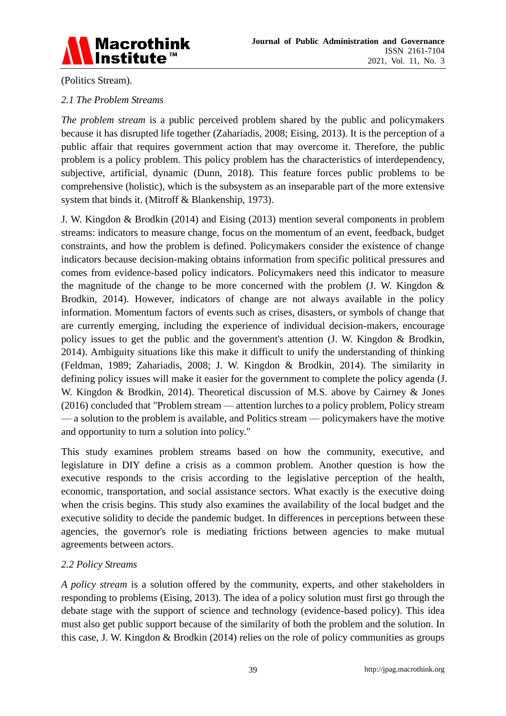

(Politics Stream).

# *2.1 The Problem Streams*

*The problem stream* is a public perceived problem shared by the public and policymakers because it has disrupted life together (Zahariadis, 2008; Eising, 2013). It is the perception of a public affair that requires government action that may overcome it. Therefore, the public problem is a policy problem. This policy problem has the characteristics of interdependency, subjective, artificial, dynamic (Dunn, 2018). This feature forces public problems to be comprehensive (holistic), which is the subsystem as an inseparable part of the more extensive system that binds it. (Mitroff & Blankenship, 1973).

J. W. Kingdon & Brodkin (2014) and Eising (2013) mention several components in problem streams: indicators to measure change, focus on the momentum of an event, feedback, budget constraints, and how the problem is defined. Policymakers consider the existence of change indicators because decision-making obtains information from specific political pressures and comes from evidence-based policy indicators. Policymakers need this indicator to measure the magnitude of the change to be more concerned with the problem  $($ J. W. Kingdon  $&$ Brodkin, 2014). However, indicators of change are not always available in the policy information. Momentum factors of events such as crises, disasters, or symbols of change that are currently emerging, including the experience of individual decision-makers, encourage policy issues to get the public and the government's attention (J. W. Kingdon & Brodkin, 2014). Ambiguity situations like this make it difficult to unify the understanding of thinking (Feldman, 1989; Zahariadis, 2008; J. W. Kingdon & Brodkin, 2014). The similarity in defining policy issues will make it easier for the government to complete the policy agenda (J. W. Kingdon & Brodkin, 2014). Theoretical discussion of M.S. above by Cairney & Jones (2016) concluded that "Problem stream — attention lurches to a policy problem, Policy stream — a solution to the problem is available, and Politics stream — policymakers have the motive and opportunity to turn a solution into policy."

This study examines problem streams based on how the community, executive, and legislature in DIY define a crisis as a common problem. Another question is how the executive responds to the crisis according to the legislative perception of the health, economic, transportation, and social assistance sectors. What exactly is the executive doing when the crisis begins. This study also examines the availability of the local budget and the executive solidity to decide the pandemic budget. In differences in perceptions between these agencies, the governor's role is mediating frictions between agencies to make mutual agreements between actors.

# *2.2 Policy Streams*

*A policy stream* is a solution offered by the community, experts, and other stakeholders in responding to problems (Eising, 2013). The idea of a policy solution must first go through the debate stage with the support of science and technology (evidence-based policy). This idea must also get public support because of the similarity of both the problem and the solution. In this case, J. W. Kingdon & Brodkin (2014) relies on the role of policy communities as groups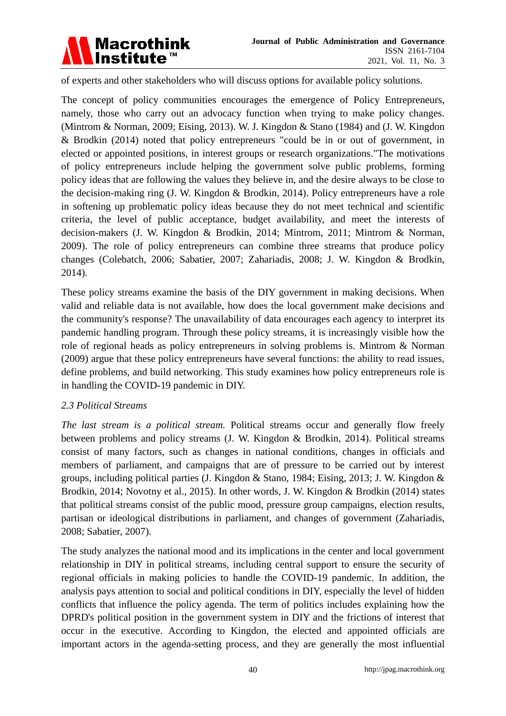

of experts and other stakeholders who will discuss options for available policy solutions.

The concept of policy communities encourages the emergence of Policy Entrepreneurs, namely, those who carry out an advocacy function when trying to make policy changes. (Mintrom & Norman, 2009; Eising, 2013). W. J. Kingdon & Stano (1984) and (J. W. Kingdon & Brodkin (2014) noted that policy entrepreneurs "could be in or out of government, in elected or appointed positions, in interest groups or research organizations."The motivations of policy entrepreneurs include helping the government solve public problems, forming policy ideas that are following the values they believe in, and the desire always to be close to the decision-making ring (J. W. Kingdon & Brodkin, 2014). Policy entrepreneurs have a role in softening up problematic policy ideas because they do not meet technical and scientific criteria, the level of public acceptance, budget availability, and meet the interests of decision-makers (J. W. Kingdon & Brodkin, 2014; Mintrom, 2011; Mintrom & Norman, 2009). The role of policy entrepreneurs can combine three streams that produce policy changes (Colebatch, 2006; Sabatier, 2007; Zahariadis, 2008; J. W. Kingdon & Brodkin, 2014).

These policy streams examine the basis of the DIY government in making decisions. When valid and reliable data is not available, how does the local government make decisions and the community's response? The unavailability of data encourages each agency to interpret its pandemic handling program. Through these policy streams, it is increasingly visible how the role of regional heads as policy entrepreneurs in solving problems is. Mintrom & Norman (2009) argue that these policy entrepreneurs have several functions: the ability to read issues, define problems, and build networking. This study examines how policy entrepreneurs role is in handling the COVID-19 pandemic in DIY.

#### *2.3 Political Streams*

*The last stream is a political stream.* Political streams occur and generally flow freely between problems and policy streams (J. W. Kingdon & Brodkin, 2014). Political streams consist of many factors, such as changes in national conditions, changes in officials and members of parliament, and campaigns that are of pressure to be carried out by interest groups, including political parties (J. Kingdon & Stano, 1984; Eising, 2013; J. W. Kingdon & Brodkin, 2014; Novotny et al., 2015). In other words, J. W. Kingdon & Brodkin (2014) states that political streams consist of the public mood, pressure group campaigns, election results, partisan or ideological distributions in parliament, and changes of government (Zahariadis, 2008; Sabatier, 2007).

The study analyzes the national mood and its implications in the center and local government relationship in DIY in political streams, including central support to ensure the security of regional officials in making policies to handle the COVID-19 pandemic. In addition, the analysis pays attention to social and political conditions in DIY, especially the level of hidden conflicts that influence the policy agenda. The term of politics includes explaining how the DPRD's political position in the government system in DIY and the frictions of interest that occur in the executive. According to Kingdon, the elected and appointed officials are important actors in the agenda-setting process, and they are generally the most influential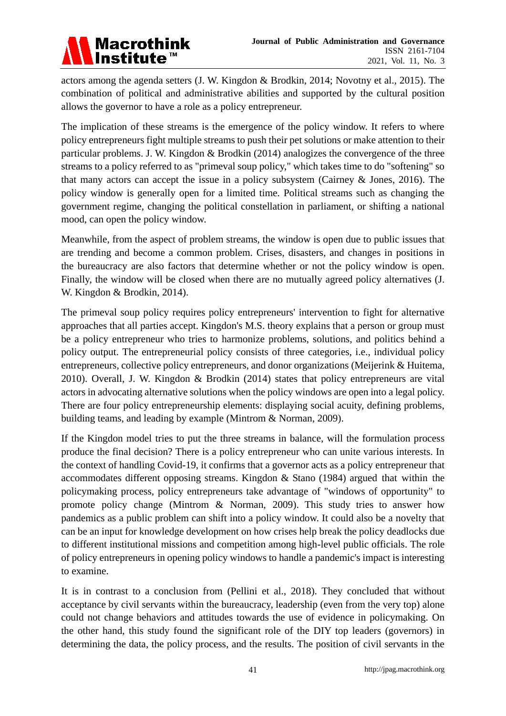

actors among the agenda setters (J. W. Kingdon & Brodkin, 2014; Novotny et al., 2015). The combination of political and administrative abilities and supported by the cultural position allows the governor to have a role as a policy entrepreneur.

The implication of these streams is the emergence of the policy window. It refers to where policy entrepreneurs fight multiple streams to push their pet solutions or make attention to their particular problems. J. W. Kingdon & Brodkin (2014) analogizes the convergence of the three streams to a policy referred to as "primeval soup policy," which takes time to do "softening" so that many actors can accept the issue in a policy subsystem (Cairney & Jones, 2016). The policy window is generally open for a limited time. Political streams such as changing the government regime, changing the political constellation in parliament, or shifting a national mood, can open the policy window.

Meanwhile, from the aspect of problem streams, the window is open due to public issues that are trending and become a common problem. Crises, disasters, and changes in positions in the bureaucracy are also factors that determine whether or not the policy window is open. Finally, the window will be closed when there are no mutually agreed policy alternatives (J. W. Kingdon & Brodkin, 2014).

The primeval soup policy requires policy entrepreneurs' intervention to fight for alternative approaches that all parties accept. Kingdon's M.S. theory explains that a person or group must be a policy entrepreneur who tries to harmonize problems, solutions, and politics behind a policy output. The entrepreneurial policy consists of three categories, i.e., individual policy entrepreneurs, collective policy entrepreneurs, and donor organizations (Meijerink & Huitema, 2010). Overall, J. W. Kingdon & Brodkin (2014) states that policy entrepreneurs are vital actors in advocating alternative solutions when the policy windows are open into a legal policy. There are four policy entrepreneurship elements: displaying social acuity, defining problems, building teams, and leading by example (Mintrom & Norman, 2009).

If the Kingdon model tries to put the three streams in balance, will the formulation process produce the final decision? There is a policy entrepreneur who can unite various interests. In the context of handling Covid-19, it confirms that a governor acts as a policy entrepreneur that accommodates different opposing streams. Kingdon & Stano (1984) argued that within the policymaking process, policy entrepreneurs take advantage of "windows of opportunity" to promote policy change (Mintrom & Norman, 2009). This study tries to answer how pandemics as a public problem can shift into a policy window. It could also be a novelty that can be an input for knowledge development on how crises help break the policy deadlocks due to different institutional missions and competition among high-level public officials. The role of policy entrepreneurs in opening policy windows to handle a pandemic's impact is interesting to examine.

It is in contrast to a conclusion from (Pellini et al., 2018). They concluded that without acceptance by civil servants within the bureaucracy, leadership (even from the very top) alone could not change behaviors and attitudes towards the use of evidence in policymaking. On the other hand, this study found the significant role of the DIY top leaders (governors) in determining the data, the policy process, and the results. The position of civil servants in the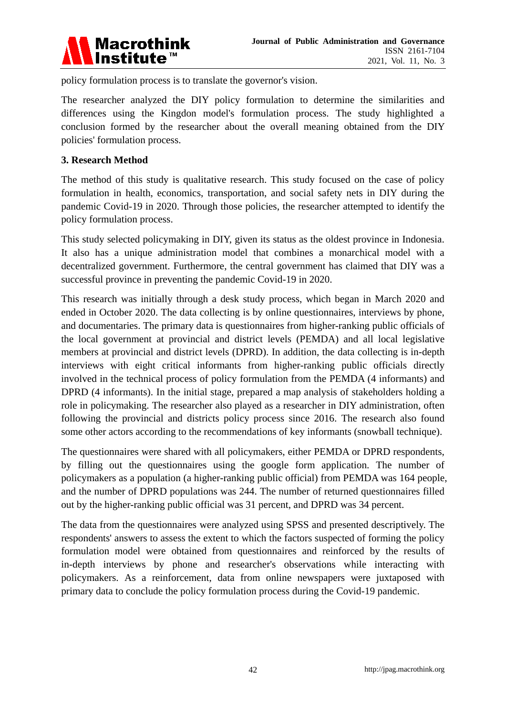

policy formulation process is to translate the governor's vision.

The researcher analyzed the DIY policy formulation to determine the similarities and differences using the Kingdon model's formulation process. The study highlighted a conclusion formed by the researcher about the overall meaning obtained from the DIY policies' formulation process.

#### **3. Research Method**

The method of this study is qualitative research. This study focused on the case of policy formulation in health, economics, transportation, and social safety nets in DIY during the pandemic Covid-19 in 2020. Through those policies, the researcher attempted to identify the policy formulation process.

This study selected policymaking in DIY, given its status as the oldest province in Indonesia. It also has a unique administration model that combines a monarchical model with a decentralized government. Furthermore, the central government has claimed that DIY was a successful province in preventing the pandemic Covid-19 in 2020.

This research was initially through a desk study process, which began in March 2020 and ended in October 2020. The data collecting is by online questionnaires, interviews by phone, and documentaries. The primary data is questionnaires from higher-ranking public officials of the local government at provincial and district levels (PEMDA) and all local legislative members at provincial and district levels (DPRD). In addition, the data collecting is in-depth interviews with eight critical informants from higher-ranking public officials directly involved in the technical process of policy formulation from the PEMDA (4 informants) and DPRD (4 informants). In the initial stage, prepared a map analysis of stakeholders holding a role in policymaking. The researcher also played as a researcher in DIY administration, often following the provincial and districts policy process since 2016. The research also found some other actors according to the recommendations of key informants (snowball technique).

The questionnaires were shared with all policymakers, either PEMDA or DPRD respondents, by filling out the questionnaires using the google form application. The number of policymakers as a population (a higher-ranking public official) from PEMDA was 164 people, and the number of DPRD populations was 244. The number of returned questionnaires filled out by the higher-ranking public official was 31 percent, and DPRD was 34 percent.

The data from the questionnaires were analyzed using SPSS and presented descriptively. The respondents' answers to assess the extent to which the factors suspected of forming the policy formulation model were obtained from questionnaires and reinforced by the results of in-depth interviews by phone and researcher's observations while interacting with policymakers. As a reinforcement, data from online newspapers were juxtaposed with primary data to conclude the policy formulation process during the Covid-19 pandemic.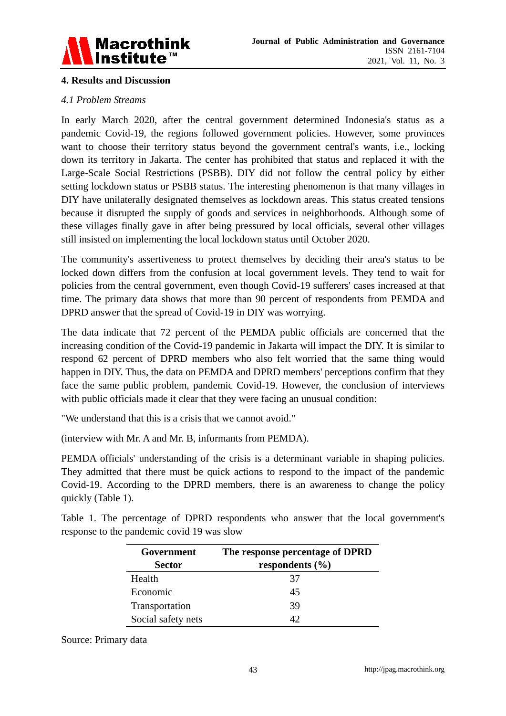

# **4. Results and Discussion**

### *4.1 Problem Streams*

In early March 2020, after the central government determined Indonesia's status as a pandemic Covid-19, the regions followed government policies. However, some provinces want to choose their territory status beyond the government central's wants, i.e., locking down its territory in Jakarta. The center has prohibited that status and replaced it with the Large-Scale Social Restrictions (PSBB). DIY did not follow the central policy by either setting lockdown status or PSBB status. The interesting phenomenon is that many villages in DIY have unilaterally designated themselves as lockdown areas. This status created tensions because it disrupted the supply of goods and services in neighborhoods. Although some of these villages finally gave in after being pressured by local officials, several other villages still insisted on implementing the local lockdown status until October 2020.

The community's assertiveness to protect themselves by deciding their area's status to be locked down differs from the confusion at local government levels. They tend to wait for policies from the central government, even though Covid-19 sufferers' cases increased at that time. The primary data shows that more than 90 percent of respondents from PEMDA and DPRD answer that the spread of Covid-19 in DIY was worrying.

The data indicate that 72 percent of the PEMDA public officials are concerned that the increasing condition of the Covid-19 pandemic in Jakarta will impact the DIY. It is similar to respond 62 percent of DPRD members who also felt worried that the same thing would happen in DIY. Thus, the data on PEMDA and DPRD members' perceptions confirm that they face the same public problem, pandemic Covid-19. However, the conclusion of interviews with public officials made it clear that they were facing an unusual condition:

"We understand that this is a crisis that we cannot avoid."

(interview with Mr. A and Mr. B, informants from PEMDA).

PEMDA officials' understanding of the crisis is a determinant variable in shaping policies. They admitted that there must be quick actions to respond to the impact of the pandemic Covid-19. According to the DPRD members, there is an awareness to change the policy quickly (Table 1).

Table 1. The percentage of DPRD respondents who answer that the local government's response to the pandemic covid 19 was slow

| Government         | The response percentage of DPRD |  |  |
|--------------------|---------------------------------|--|--|
| <b>Sector</b>      | respondents $(\% )$             |  |  |
| Health             | 37                              |  |  |
| Economic           | 45                              |  |  |
| Transportation     | 39                              |  |  |
| Social safety nets |                                 |  |  |

Source: Primary data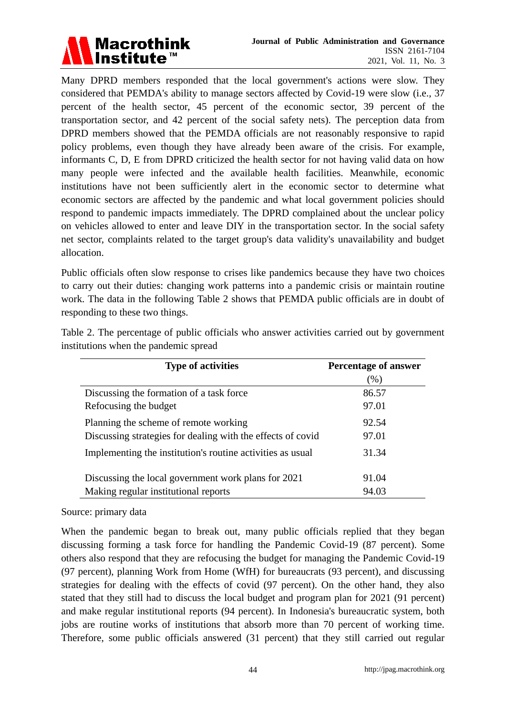

Many DPRD members responded that the local government's actions were slow. They considered that PEMDA's ability to manage sectors affected by Covid-19 were slow (i.e., 37 percent of the health sector, 45 percent of the economic sector, 39 percent of the transportation sector, and 42 percent of the social safety nets). The perception data from DPRD members showed that the PEMDA officials are not reasonably responsive to rapid policy problems, even though they have already been aware of the crisis. For example, informants C, D, E from DPRD criticized the health sector for not having valid data on how many people were infected and the available health facilities. Meanwhile, economic institutions have not been sufficiently alert in the economic sector to determine what economic sectors are affected by the pandemic and what local government policies should respond to pandemic impacts immediately. The DPRD complained about the unclear policy on vehicles allowed to enter and leave DIY in the transportation sector. In the social safety net sector, complaints related to the target group's data validity's unavailability and budget allocation.

Public officials often slow response to crises like pandemics because they have two choices to carry out their duties: changing work patterns into a pandemic crisis or maintain routine work. The data in the following Table 2 shows that PEMDA public officials are in doubt of responding to these two things.

| <b>Type of activities</b>                                   | <b>Percentage of answer</b> |  |
|-------------------------------------------------------------|-----------------------------|--|
|                                                             | $(\% )$                     |  |
| Discussing the formation of a task force                    | 86.57                       |  |
| Refocusing the budget                                       | 97.01                       |  |
| Planning the scheme of remote working                       | 92.54                       |  |
| Discussing strategies for dealing with the effects of covid | 97.01                       |  |
| Implementing the institution's routine activities as usual  | 31.34                       |  |
| Discussing the local government work plans for 2021         | 91.04                       |  |
| Making regular institutional reports                        | 94.03                       |  |

Table 2. The percentage of public officials who answer activities carried out by government institutions when the pandemic spread

#### Source: primary data

When the pandemic began to break out, many public officials replied that they began discussing forming a task force for handling the Pandemic Covid-19 (87 percent). Some others also respond that they are refocusing the budget for managing the Pandemic Covid-19 (97 percent), planning Work from Home (WfH) for bureaucrats (93 percent), and discussing strategies for dealing with the effects of covid (97 percent). On the other hand, they also stated that they still had to discuss the local budget and program plan for 2021 (91 percent) and make regular institutional reports (94 percent). In Indonesia's bureaucratic system, both jobs are routine works of institutions that absorb more than 70 percent of working time. Therefore, some public officials answered (31 percent) that they still carried out regular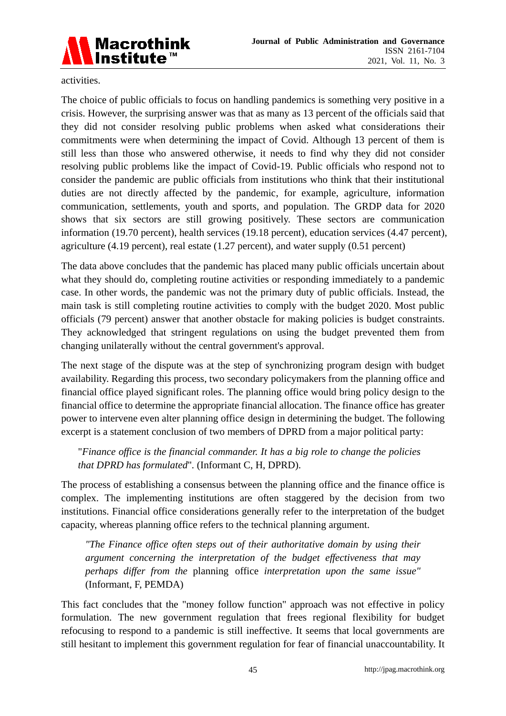

activities.

The choice of public officials to focus on handling pandemics is something very positive in a crisis. However, the surprising answer was that as many as 13 percent of the officials said that they did not consider resolving public problems when asked what considerations their commitments were when determining the impact of Covid. Although 13 percent of them is still less than those who answered otherwise, it needs to find why they did not consider resolving public problems like the impact of Covid-19. Public officials who respond not to consider the pandemic are public officials from institutions who think that their institutional duties are not directly affected by the pandemic, for example, agriculture, information communication, settlements, youth and sports, and population. The GRDP data for 2020 shows that six sectors are still growing positively. These sectors are communication information (19.70 percent), health services (19.18 percent), education services (4.47 percent), agriculture (4.19 percent), real estate (1.27 percent), and water supply (0.51 percent)

The data above concludes that the pandemic has placed many public officials uncertain about what they should do, completing routine activities or responding immediately to a pandemic case. In other words, the pandemic was not the primary duty of public officials. Instead, the main task is still completing routine activities to comply with the budget 2020. Most public officials (79 percent) answer that another obstacle for making policies is budget constraints. They acknowledged that stringent regulations on using the budget prevented them from changing unilaterally without the central government's approval.

The next stage of the dispute was at the step of synchronizing program design with budget availability. Regarding this process, two secondary policymakers from the planning office and financial office played significant roles. The planning office would bring policy design to the financial office to determine the appropriate financial allocation. The finance office has greater power to intervene even alter planning office design in determining the budget. The following excerpt is a statement conclusion of two members of DPRD from a major political party:

"*Finance office is the financial commander. It has a big role to change the policies that DPRD has formulated*"*.* (Informant C, H, DPRD).

The process of establishing a consensus between the planning office and the finance office is complex. The implementing institutions are often staggered by the decision from two institutions. Financial office considerations generally refer to the interpretation of the budget capacity, whereas planning office refers to the technical planning argument.

*"The Finance office often steps out of their authoritative domain by using their argument concerning the interpretation of the budget effectiveness that may perhaps differ from the* planning office *interpretation upon the same issue"* (Informant, F, PEMDA)

This fact concludes that the "money follow function" approach was not effective in policy formulation. The new government regulation that frees regional flexibility for budget refocusing to respond to a pandemic is still ineffective. It seems that local governments are still hesitant to implement this government regulation for fear of financial unaccountability. It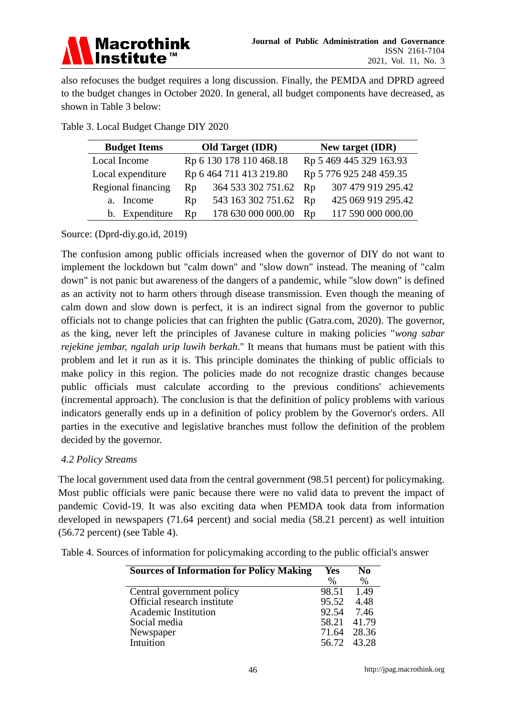

also refocuses the budget requires a long discussion. Finally, the PEMDA and DPRD agreed to the budget changes in October 2020. In general, all budget components have decreased, as shown in Table 3 below:

| <b>Budget Items</b> | <b>Old Target (IDR)</b> |                         | New target (IDR)        |                         |
|---------------------|-------------------------|-------------------------|-------------------------|-------------------------|
| Local Income        |                         | Rp 6 130 178 110 468.18 |                         | Rp 5 469 445 329 163.93 |
| Local expenditure   |                         | Rp 6 464 711 413 219.80 | Rp 5 776 925 248 459.35 |                         |
| Regional financing  | Rp                      | 364 533 302 751.62      | Rp                      | 307 479 919 295.42      |
| a. Income           | R <sub>D</sub>          | 543 163 302 751.62      | Rp                      | 425 069 919 295.42      |
| b. Expenditure      | Rp                      | 178 630 000 000.00      | Rp                      | 117 590 000 000.00      |

Table 3. Local Budget Change DIY 2020

Source: (Dprd-diy.go.id, 2019)

The confusion among public officials increased when the governor of DIY do not want to implement the lockdown but "calm down" and "slow down" instead. The meaning of "calm down" is not panic but awareness of the dangers of a pandemic, while "slow down" is defined as an activity not to harm others through disease transmission. Even though the meaning of calm down and slow down is perfect, it is an indirect signal from the governor to public officials not to change policies that can frighten the public (Gatra.com, 2020). The governor, as the king, never left the principles of Javanese culture in making policies "*wong sabar rejekine jembar, ngalah urip luwih berkah*." It means that humans must be patient with this problem and let it run as it is. This principle dominates the thinking of public officials to make policy in this region. The policies made do not recognize drastic changes because public officials must calculate according to the previous conditions' achievements (incremental approach). The conclusion is that the definition of policy problems with various indicators generally ends up in a definition of policy problem by the Governor's orders. All parties in the executive and legislative branches must follow the definition of the problem decided by the governor.

# *4.2 Policy Streams*

The local government used data from the central government (98.51 percent) for policymaking. Most public officials were panic because there were no valid data to prevent the impact of pandemic Covid-19. It was also exciting data when PEMDA took data from information developed in newspapers (71.64 percent) and social media (58.21 percent) as well intuition (56.72 percent) (see Table 4).

Table 4. Sources of information for policymaking according to the public official's answer

| <b>Sources of Information for Policy Making</b> | Yes<br>%    | No<br>$\%$ |
|-------------------------------------------------|-------------|------------|
| Central government policy                       | 98.51       | 1.49       |
| Official research institute                     | 95.52       | 4.48       |
| <b>Academic Institution</b>                     | 92.54       | 7.46       |
| Social media                                    | 58.21 41.79 |            |
| Newspaper                                       | 71.64       | 28.36      |
| <b>Intuition</b>                                | 56.72 43.28 |            |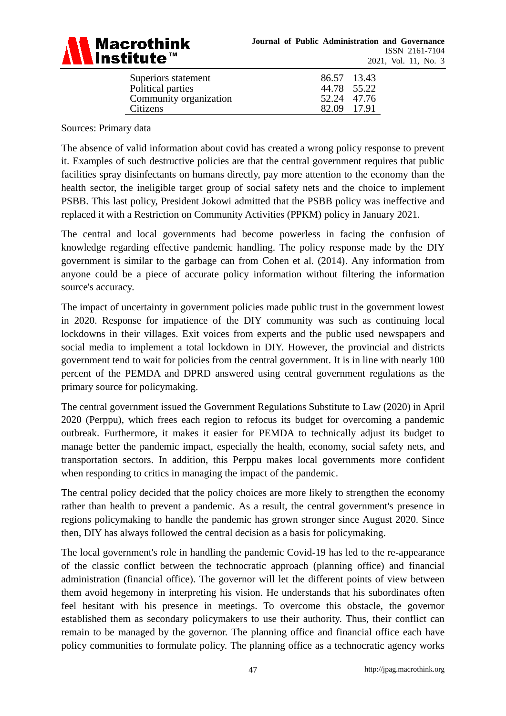

| Superiors statement    | 86.57 13.43 |  |
|------------------------|-------------|--|
| Political parties      | 44.78 55.22 |  |
| Community organization | 52.24 47.76 |  |
| Citizens               | 82.09 17.91 |  |

Sources: Primary data

The absence of valid information about covid has created a wrong policy response to prevent it. Examples of such destructive policies are that the central government requires that public facilities spray disinfectants on humans directly, pay more attention to the economy than the health sector, the ineligible target group of social safety nets and the choice to implement PSBB. This last policy, President Jokowi admitted that the PSBB policy was ineffective and replaced it with a Restriction on Community Activities (PPKM) policy in January 2021.

The central and local governments had become powerless in facing the confusion of knowledge regarding effective pandemic handling. The policy response made by the DIY government is similar to the garbage can from Cohen et al. (2014). Any information from anyone could be a piece of accurate policy information without filtering the information source's accuracy.

The impact of uncertainty in government policies made public trust in the government lowest in 2020. Response for impatience of the DIY community was such as continuing local lockdowns in their villages. Exit voices from experts and the public used newspapers and social media to implement a total lockdown in DIY. However, the provincial and districts government tend to wait for policies from the central government. It is in line with nearly 100 percent of the PEMDA and DPRD answered using central government regulations as the primary source for policymaking.

The central government issued the Government Regulations Substitute to Law (2020) in April 2020 (Perppu), which frees each region to refocus its budget for overcoming a pandemic outbreak. Furthermore, it makes it easier for PEMDA to technically adjust its budget to manage better the pandemic impact, especially the health, economy, social safety nets, and transportation sectors. In addition, this Perppu makes local governments more confident when responding to critics in managing the impact of the pandemic.

The central policy decided that the policy choices are more likely to strengthen the economy rather than health to prevent a pandemic. As a result, the central government's presence in regions policymaking to handle the pandemic has grown stronger since August 2020. Since then, DIY has always followed the central decision as a basis for policymaking.

The local government's role in handling the pandemic Covid-19 has led to the re-appearance of the classic conflict between the technocratic approach (planning office) and financial administration (financial office). The governor will let the different points of view between them avoid hegemony in interpreting his vision. He understands that his subordinates often feel hesitant with his presence in meetings. To overcome this obstacle, the governor established them as secondary policymakers to use their authority. Thus, their conflict can remain to be managed by the governor. The planning office and financial office each have policy communities to formulate policy. The planning office as a technocratic agency works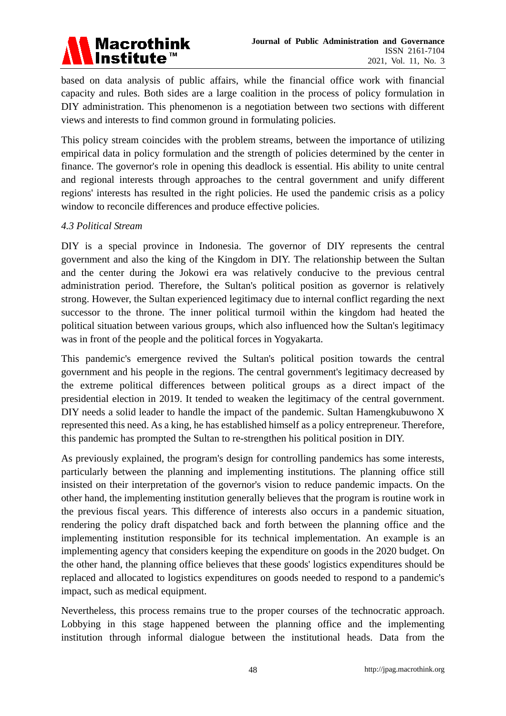

based on data analysis of public affairs, while the financial office work with financial capacity and rules. Both sides are a large coalition in the process of policy formulation in DIY administration. This phenomenon is a negotiation between two sections with different views and interests to find common ground in formulating policies.

This policy stream coincides with the problem streams, between the importance of utilizing empirical data in policy formulation and the strength of policies determined by the center in finance. The governor's role in opening this deadlock is essential. His ability to unite central and regional interests through approaches to the central government and unify different regions' interests has resulted in the right policies. He used the pandemic crisis as a policy window to reconcile differences and produce effective policies.

#### *4.3 Political Stream*

DIY is a special province in Indonesia. The governor of DIY represents the central government and also the king of the Kingdom in DIY. The relationship between the Sultan and the center during the Jokowi era was relatively conducive to the previous central administration period. Therefore, the Sultan's political position as governor is relatively strong. However, the Sultan experienced legitimacy due to internal conflict regarding the next successor to the throne. The inner political turmoil within the kingdom had heated the political situation between various groups, which also influenced how the Sultan's legitimacy was in front of the people and the political forces in Yogyakarta.

This pandemic's emergence revived the Sultan's political position towards the central government and his people in the regions. The central government's legitimacy decreased by the extreme political differences between political groups as a direct impact of the presidential election in 2019. It tended to weaken the legitimacy of the central government. DIY needs a solid leader to handle the impact of the pandemic. Sultan Hamengkubuwono X represented this need. As a king, he has established himself as a policy entrepreneur. Therefore, this pandemic has prompted the Sultan to re-strengthen his political position in DIY.

As previously explained, the program's design for controlling pandemics has some interests, particularly between the planning and implementing institutions. The planning office still insisted on their interpretation of the governor's vision to reduce pandemic impacts. On the other hand, the implementing institution generally believes that the program is routine work in the previous fiscal years. This difference of interests also occurs in a pandemic situation, rendering the policy draft dispatched back and forth between the planning office and the implementing institution responsible for its technical implementation. An example is an implementing agency that considers keeping the expenditure on goods in the 2020 budget. On the other hand, the planning office believes that these goods' logistics expenditures should be replaced and allocated to logistics expenditures on goods needed to respond to a pandemic's impact, such as medical equipment.

Nevertheless, this process remains true to the proper courses of the technocratic approach. Lobbying in this stage happened between the planning office and the implementing institution through informal dialogue between the institutional heads. Data from the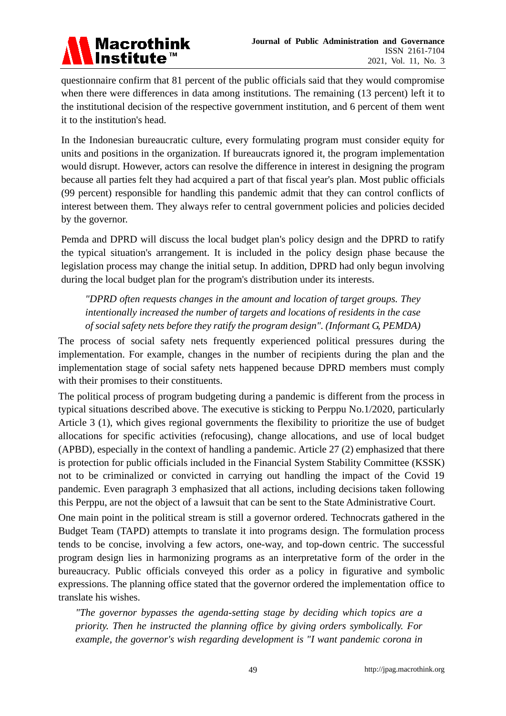

questionnaire confirm that 81 percent of the public officials said that they would compromise when there were differences in data among institutions. The remaining (13 percent) left it to the institutional decision of the respective government institution, and 6 percent of them went it to the institution's head.

In the Indonesian bureaucratic culture, every formulating program must consider equity for units and positions in the organization. If bureaucrats ignored it, the program implementation would disrupt. However, actors can resolve the difference in interest in designing the program because all parties felt they had acquired a part of that fiscal year's plan. Most public officials (99 percent) responsible for handling this pandemic admit that they can control conflicts of interest between them. They always refer to central government policies and policies decided by the governor.

Pemda and DPRD will discuss the local budget plan's policy design and the DPRD to ratify the typical situation's arrangement. It is included in the policy design phase because the legislation process may change the initial setup. In addition, DPRD had only begun involving during the local budget plan for the program's distribution under its interests.

*"DPRD often requests changes in the amount and location of target groups. They intentionally increased the number of targets and locations of residents in the case of social safety nets before they ratify the program design". (Informant G, PEMDA)*

The process of social safety nets frequently experienced political pressures during the implementation. For example, changes in the number of recipients during the plan and the implementation stage of social safety nets happened because DPRD members must comply with their promises to their constituents.

The political process of program budgeting during a pandemic is different from the process in typical situations described above. The executive is sticking to Perppu No.1/2020, particularly Article 3 (1), which gives regional governments the flexibility to prioritize the use of budget allocations for specific activities (refocusing), change allocations, and use of local budget (APBD), especially in the context of handling a pandemic. Article 27 (2) emphasized that there is protection for public officials included in the Financial System Stability Committee (KSSK) not to be criminalized or convicted in carrying out handling the impact of the Covid 19 pandemic. Even paragraph 3 emphasized that all actions, including decisions taken following this Perppu, are not the object of a lawsuit that can be sent to the State Administrative Court.

One main point in the political stream is still a governor ordered. Technocrats gathered in the Budget Team (TAPD) attempts to translate it into programs design. The formulation process tends to be concise, involving a few actors, one-way, and top-down centric. The successful program design lies in harmonizing programs as an interpretative form of the order in the bureaucracy. Public officials conveyed this order as a policy in figurative and symbolic expressions. The planning office stated that the governor ordered the implementation office to translate his wishes.

*"The governor bypasses the agenda-setting stage by deciding which topics are a priority. Then he instructed the planning office by giving orders symbolically. For example, the governor's wish regarding development is "I want pandemic corona in*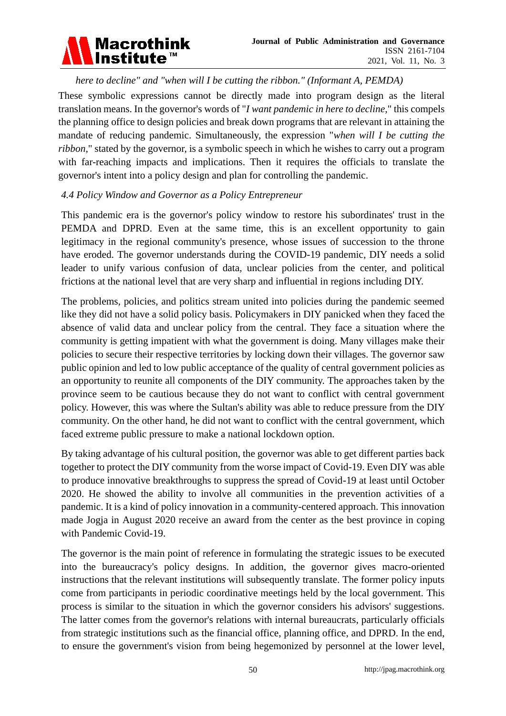

*here to decline" and "when will I be cutting the ribbon." (Informant A, PEMDA)*

These symbolic expressions cannot be directly made into program design as the literal translation means. In the governor's words of "*I want pandemic in here to decline*," this compels the planning office to design policies and break down programs that are relevant in attaining the mandate of reducing pandemic. Simultaneously, the expression "*when will I be cutting the ribbon*," stated by the governor, is a symbolic speech in which he wishes to carry out a program with far-reaching impacts and implications. Then it requires the officials to translate the governor's intent into a policy design and plan for controlling the pandemic.

# *4.4 Policy Window and Governor as a Policy Entrepreneur*

This pandemic era is the governor's policy window to restore his subordinates' trust in the PEMDA and DPRD. Even at the same time, this is an excellent opportunity to gain legitimacy in the regional community's presence, whose issues of succession to the throne have eroded. The governor understands during the COVID-19 pandemic, DIY needs a solid leader to unify various confusion of data, unclear policies from the center, and political frictions at the national level that are very sharp and influential in regions including DIY.

The problems, policies, and politics stream united into policies during the pandemic seemed like they did not have a solid policy basis. Policymakers in DIY panicked when they faced the absence of valid data and unclear policy from the central. They face a situation where the community is getting impatient with what the government is doing. Many villages make their policies to secure their respective territories by locking down their villages. The governor saw public opinion and led to low public acceptance of the quality of central government policies as an opportunity to reunite all components of the DIY community. The approaches taken by the province seem to be cautious because they do not want to conflict with central government policy. However, this was where the Sultan's ability was able to reduce pressure from the DIY community. On the other hand, he did not want to conflict with the central government, which faced extreme public pressure to make a national lockdown option.

By taking advantage of his cultural position, the governor was able to get different parties back together to protect the DIY community from the worse impact of Covid-19. Even DIY was able to produce innovative breakthroughs to suppress the spread of Covid-19 at least until October 2020. He showed the ability to involve all communities in the prevention activities of a pandemic. It is a kind of policy innovation in a community-centered approach. This innovation made Jogja in August 2020 receive an award from the center as the best province in coping with Pandemic Covid-19.

The governor is the main point of reference in formulating the strategic issues to be executed into the bureaucracy's policy designs. In addition, the governor gives macro-oriented instructions that the relevant institutions will subsequently translate. The former policy inputs come from participants in periodic coordinative meetings held by the local government. This process is similar to the situation in which the governor considers his advisors' suggestions. The latter comes from the governor's relations with internal bureaucrats, particularly officials from strategic institutions such as the financial office, planning office, and DPRD. In the end, to ensure the government's vision from being hegemonized by personnel at the lower level,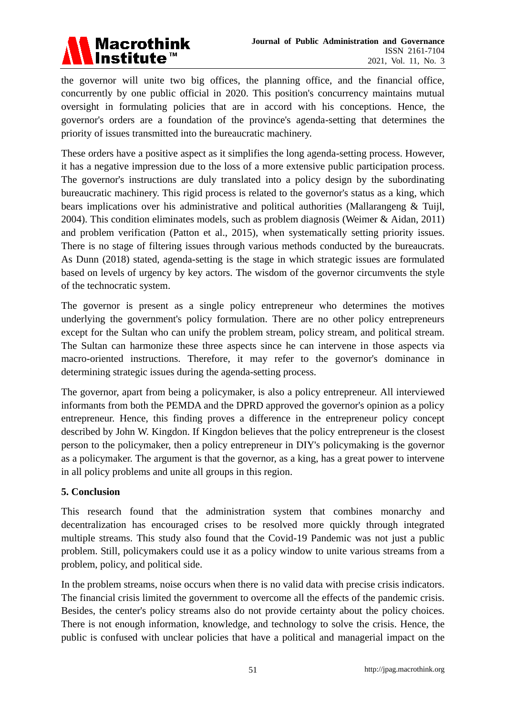

the governor will unite two big offices, the planning office, and the financial office, concurrently by one public official in 2020. This position's concurrency maintains mutual oversight in formulating policies that are in accord with his conceptions. Hence, the governor's orders are a foundation of the province's agenda-setting that determines the priority of issues transmitted into the bureaucratic machinery.

These orders have a positive aspect as it simplifies the long agenda-setting process. However, it has a negative impression due to the loss of a more extensive public participation process. The governor's instructions are duly translated into a policy design by the subordinating bureaucratic machinery. This rigid process is related to the governor's status as a king, which bears implications over his administrative and political authorities (Mallarangeng & Tuijl, 2004). This condition eliminates models, such as problem diagnosis (Weimer & Aidan, 2011) and problem verification (Patton et al., 2015), when systematically setting priority issues. There is no stage of filtering issues through various methods conducted by the bureaucrats. As Dunn (2018) stated, agenda-setting is the stage in which strategic issues are formulated based on levels of urgency by key actors. The wisdom of the governor circumvents the style of the technocratic system.

The governor is present as a single policy entrepreneur who determines the motives underlying the government's policy formulation. There are no other policy entrepreneurs except for the Sultan who can unify the problem stream, policy stream, and political stream. The Sultan can harmonize these three aspects since he can intervene in those aspects via macro-oriented instructions. Therefore, it may refer to the governor's dominance in determining strategic issues during the agenda-setting process.

The governor, apart from being a policymaker, is also a policy entrepreneur. All interviewed informants from both the PEMDA and the DPRD approved the governor's opinion as a policy entrepreneur. Hence, this finding proves a difference in the entrepreneur policy concept described by John W. Kingdon. If Kingdon believes that the policy entrepreneur is the closest person to the policymaker, then a policy entrepreneur in DIY's policymaking is the governor as a policymaker. The argument is that the governor, as a king, has a great power to intervene in all policy problems and unite all groups in this region.

# **5. Conclusion**

This research found that the administration system that combines monarchy and decentralization has encouraged crises to be resolved more quickly through integrated multiple streams. This study also found that the Covid-19 Pandemic was not just a public problem. Still, policymakers could use it as a policy window to unite various streams from a problem, policy, and political side.

In the problem streams, noise occurs when there is no valid data with precise crisis indicators. The financial crisis limited the government to overcome all the effects of the pandemic crisis. Besides, the center's policy streams also do not provide certainty about the policy choices. There is not enough information, knowledge, and technology to solve the crisis. Hence, the public is confused with unclear policies that have a political and managerial impact on the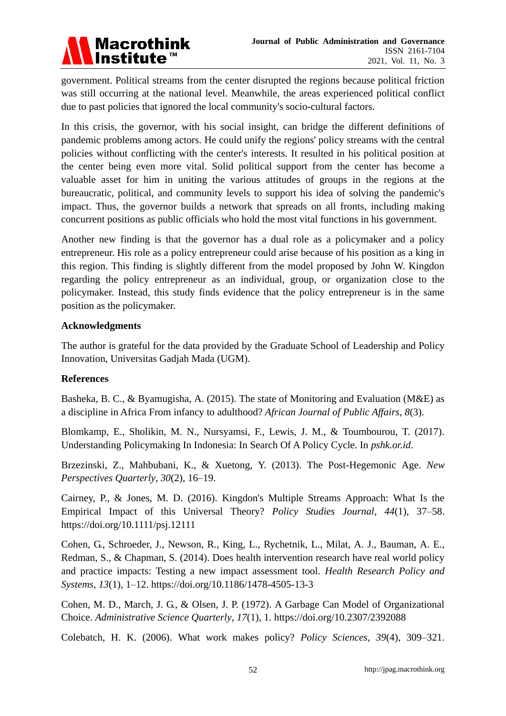

government. Political streams from the center disrupted the regions because political friction was still occurring at the national level. Meanwhile, the areas experienced political conflict due to past policies that ignored the local community's socio-cultural factors.

In this crisis, the governor, with his social insight, can bridge the different definitions of pandemic problems among actors. He could unify the regions' policy streams with the central policies without conflicting with the center's interests. It resulted in his political position at the center being even more vital. Solid political support from the center has become a valuable asset for him in uniting the various attitudes of groups in the regions at the bureaucratic, political, and community levels to support his idea of solving the pandemic's impact. Thus, the governor builds a network that spreads on all fronts, including making concurrent positions as public officials who hold the most vital functions in his government.

Another new finding is that the governor has a dual role as a policymaker and a policy entrepreneur. His role as a policy entrepreneur could arise because of his position as a king in this region. This finding is slightly different from the model proposed by John W. Kingdon regarding the policy entrepreneur as an individual, group, or organization close to the policymaker. Instead, this study finds evidence that the policy entrepreneur is in the same position as the policymaker.

#### **Acknowledgments**

The author is grateful for the data provided by the Graduate School of Leadership and Policy Innovation, Universitas Gadjah Mada (UGM).

# **References**

Basheka, B. C., & Byamugisha, A. (2015). The state of Monitoring and Evaluation (M&E) as a discipline in Africa From infancy to adulthood? *African Journal of Public Affairs*, *8*(3).

Blomkamp, E., Sholikin, M. N., Nursyamsi, F., Lewis, J. M., & Toumbourou, T. (2017). Understanding Policymaking In Indonesia: In Search Of A Policy Cycle. In *pshk.or.id*.

Brzezinski, Z., Mahbubani, K., & Xuetong, Y. (2013). The Post-Hegemonic Age. *New Perspectives Quarterly*, *30*(2), 16–19.

Cairney, P., & Jones, M. D. (2016). Kingdon's Multiple Streams Approach: What Is the Empirical Impact of this Universal Theory? *Policy Studies Journal*, *44*(1), 37–58. https://doi.org/10.1111/psj.12111

Cohen, G., Schroeder, J., Newson, R., King, L., Rychetnik, L., Milat, A. J., Bauman, A. E., Redman, S., & Chapman, S. (2014). Does health intervention research have real world policy and practice impacts: Testing a new impact assessment tool. *Health Research Policy and Systems*, *13*(1), 1–12. https://doi.org/10.1186/1478-4505-13-3

Cohen, M. D., March, J. G., & Olsen, J. P. (1972). A Garbage Can Model of Organizational Choice. *Administrative Science Quarterly*, *17*(1), 1. https://doi.org/10.2307/2392088

Colebatch, H. K. (2006). What work makes policy? *Policy Sciences*, *39*(4), 309–321.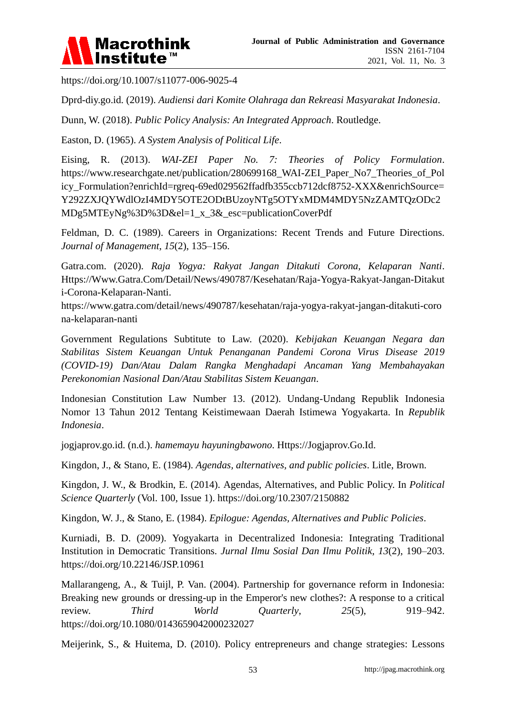

https://doi.org/10.1007/s11077-006-9025-4

Dprd-diy.go.id. (2019). *Audiensi dari Komite Olahraga dan Rekreasi Masyarakat Indonesia*.

Dunn, W. (2018). *Public Policy Analysis: An Integrated Approach*. Routledge.

Easton, D. (1965). *A System Analysis of Political Life*.

Eising, R. (2013). *WAI-ZEI Paper No. 7: Theories of Policy Formulation*. https://www.researchgate.net/publication/280699168\_WAI-ZEI\_Paper\_No7\_Theories\_of\_Pol icy Formulation?enrichId=rgreq-69ed029562ffadfb355ccb712dcf8752-XXX&enrichSource= Y292ZXJQYWdlOzI4MDY5OTE2ODtBUzoyNTg5OTYxMDM4MDY5NzZAMTQzODc2 MDg5MTEyNg%3D%3D&el=1 x 3& esc=publicationCoverPdf

Feldman, D. C. (1989). Careers in Organizations: Recent Trends and Future Directions. *Journal of Management*, *15*(2), 135–156.

Gatra.com. (2020). *Raja Yogya: Rakyat Jangan Ditakuti Corona, Kelaparan Nanti*. Https://Www.Gatra.Com/Detail/News/490787/Kesehatan/Raja-Yogya-Rakyat-Jangan-Ditakut i-Corona-Kelaparan-Nanti.

https://www.gatra.com/detail/news/490787/kesehatan/raja-yogya-rakyat-jangan-ditakuti-coro na-kelaparan-nanti

Government Regulations Subtitute to Law. (2020). *Kebijakan Keuangan Negara dan Stabilitas Sistem Keuangan Untuk Penanganan Pandemi Corona Virus Disease 2019 (COVID-19) Dan/Atau Dalam Rangka Menghadapi Ancaman Yang Membahayakan Perekonomian Nasional Dan/Atau Stabilitas Sistem Keuangan*.

Indonesian Constitution Law Number 13. (2012). Undang-Undang Republik Indonesia Nomor 13 Tahun 2012 Tentang Keistimewaan Daerah Istimewa Yogyakarta. In *Republik Indonesia*.

jogjaprov.go.id. (n.d.). *hamemayu hayuningbawono*. Https://Jogjaprov.Go.Id.

Kingdon, J., & Stano, E. (1984). *Agendas, alternatives, and public policies*. Litle, Brown.

Kingdon, J. W., & Brodkin, E. (2014). Agendas, Alternatives, and Public Policy. In *Political Science Quarterly* (Vol. 100, Issue 1). https://doi.org/10.2307/2150882

Kingdon, W. J., & Stano, E. (1984). *Epilogue: Agendas, Alternatives and Public Policies*.

Kurniadi, B. D. (2009). Yogyakarta in Decentralized Indonesia: Integrating Traditional Institution in Democratic Transitions. *Jurnal Ilmu Sosial Dan Ilmu Politik*, *13*(2), 190–203. https://doi.org/10.22146/JSP.10961

Mallarangeng, A., & Tuijl, P. Van. (2004). Partnership for governance reform in Indonesia: Breaking new grounds or dressing-up in the Emperor's new clothes?: A response to a critical review. *Third World Quarterly*, *25*(5), 919–942. https://doi.org/10.1080/0143659042000232027

Meijerink, S., & Huitema, D. (2010). Policy entrepreneurs and change strategies: Lessons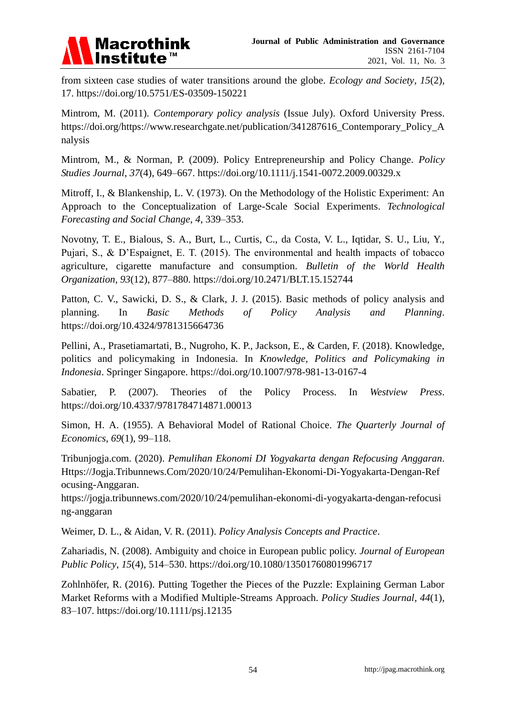

from sixteen case studies of water transitions around the globe. *Ecology and Society*, *15*(2), 17. https://doi.org/10.5751/ES-03509-150221

Mintrom, M. (2011). *Contemporary policy analysis* (Issue July). Oxford University Press. https://doi.org/https://www.researchgate.net/publication/341287616 Contemporary Policy A nalysis

Mintrom, M., & Norman, P. (2009). Policy Entrepreneurship and Policy Change. *Policy Studies Journal*, *37*(4), 649–667. https://doi.org/10.1111/j.1541-0072.2009.00329.x

Mitroff, I., & Blankenship, L. V. (1973). On the Methodology of the Holistic Experiment: An Approach to the Conceptualization of Large-Scale Social Experiments. *Technological Forecasting and Social Change*, *4*, 339–353.

Novotny, T. E., Bialous, S. A., Burt, L., Curtis, C., da Costa, V. L., Iqtidar, S. U., Liu, Y., Pujari, S., & D'Espaignet, E. T. (2015). The environmental and health impacts of tobacco agriculture, cigarette manufacture and consumption. *Bulletin of the World Health Organization*, *93*(12), 877–880. https://doi.org/10.2471/BLT.15.152744

Patton, C. V., Sawicki, D. S., & Clark, J. J. (2015). Basic methods of policy analysis and planning. In *Basic Methods of Policy Analysis and Planning*. https://doi.org/10.4324/9781315664736

Pellini, A., Prasetiamartati, B., Nugroho, K. P., Jackson, E., & Carden, F. (2018). Knowledge, politics and policymaking in Indonesia. In *Knowledge, Politics and Policymaking in Indonesia*. Springer Singapore. https://doi.org/10.1007/978-981-13-0167-4

Sabatier, P. (2007). Theories of the Policy Process. In *Westview Press*. https://doi.org/10.4337/9781784714871.00013

Simon, H. A. (1955). A Behavioral Model of Rational Choice. *The Quarterly Journal of Economics*, *69*(1), 99–118.

Tribunjogja.com. (2020). *Pemulihan Ekonomi DI Yogyakarta dengan Refocusing Anggaran*. Https://Jogja.Tribunnews.Com/2020/10/24/Pemulihan-Ekonomi-Di-Yogyakarta-Dengan-Ref ocusing-Anggaran.

https://jogja.tribunnews.com/2020/10/24/pemulihan-ekonomi-di-yogyakarta-dengan-refocusi ng-anggaran

Weimer, D. L., & Aidan, V. R. (2011). *Policy Analysis Concepts and Practice*.

Zahariadis, N. (2008). Ambiguity and choice in European public policy. *Journal of European Public Policy*, *15*(4), 514–530. https://doi.org/10.1080/13501760801996717

Zohlnhöfer, R. (2016). Putting Together the Pieces of the Puzzle: Explaining German Labor Market Reforms with a Modified Multiple-Streams Approach. *Policy Studies Journal*, *44*(1), 83–107. https://doi.org/10.1111/psj.12135